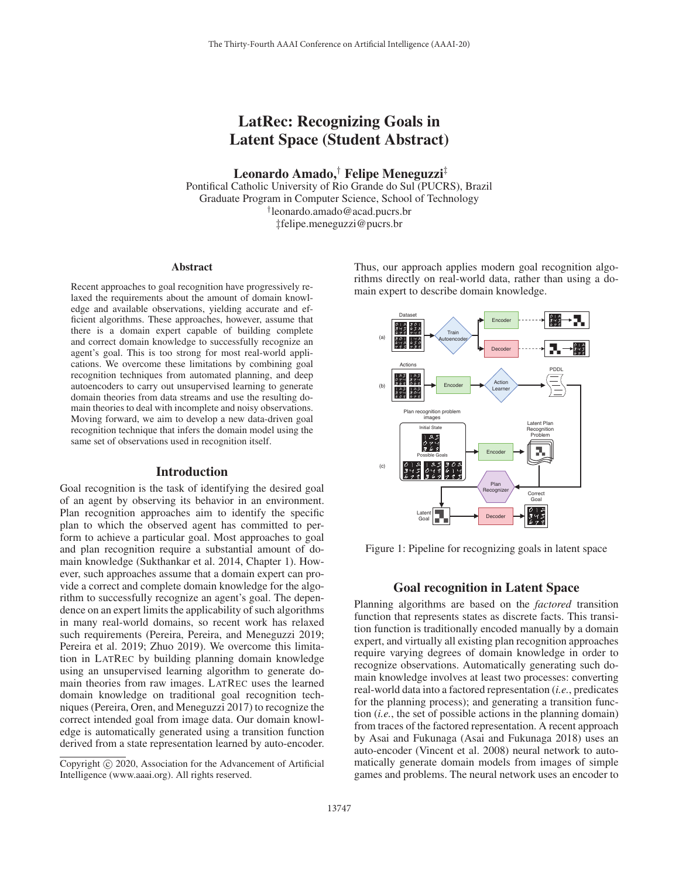# LatRec: Recognizing Goals in Latent Space (Student Abstract)

Leonardo Amado,† Felipe Meneguzzi‡

Pontifical Catholic University of Rio Grande do Sul (PUCRS), Brazil Graduate Program in Computer Science, School of Technology †leonardo.amado@acad.pucrs.br ‡felipe.meneguzzi@pucrs.br

#### Abstract

Recent approaches to goal recognition have progressively relaxed the requirements about the amount of domain knowledge and available observations, yielding accurate and efficient algorithms. These approaches, however, assume that there is a domain expert capable of building complete and correct domain knowledge to successfully recognize an agent's goal. This is too strong for most real-world applications. We overcome these limitations by combining goal recognition techniques from automated planning, and deep autoencoders to carry out unsupervised learning to generate domain theories from data streams and use the resulting domain theories to deal with incomplete and noisy observations. Moving forward, we aim to develop a new data-driven goal recognition technique that infers the domain model using the same set of observations used in recognition itself.

# Introduction

Goal recognition is the task of identifying the desired goal of an agent by observing its behavior in an environment. Plan recognition approaches aim to identify the specific plan to which the observed agent has committed to perform to achieve a particular goal. Most approaches to goal and plan recognition require a substantial amount of domain knowledge (Sukthankar et al. 2014, Chapter 1). However, such approaches assume that a domain expert can provide a correct and complete domain knowledge for the algorithm to successfully recognize an agent's goal. The dependence on an expert limits the applicability of such algorithms in many real-world domains, so recent work has relaxed such requirements (Pereira, Pereira, and Meneguzzi 2019; Pereira et al. 2019; Zhuo 2019). We overcome this limitation in LATREC by building planning domain knowledge using an unsupervised learning algorithm to generate domain theories from raw images. LATREC uses the learned domain knowledge on traditional goal recognition techniques (Pereira, Oren, and Meneguzzi 2017) to recognize the correct intended goal from image data. Our domain knowledge is automatically generated using a transition function derived from a state representation learned by auto-encoder. Thus, our approach applies modern goal recognition algorithms directly on real-world data, rather than using a domain expert to describe domain knowledge.



Figure 1: Pipeline for recognizing goals in latent space

### Goal recognition in Latent Space

Planning algorithms are based on the *factored* transition function that represents states as discrete facts. This transition function is traditionally encoded manually by a domain expert, and virtually all existing plan recognition approaches require varying degrees of domain knowledge in order to recognize observations. Automatically generating such domain knowledge involves at least two processes: converting real-world data into a factored representation (*i.e.*, predicates for the planning process); and generating a transition function (*i.e.*, the set of possible actions in the planning domain) from traces of the factored representation. A recent approach by Asai and Fukunaga (Asai and Fukunaga 2018) uses an auto-encoder (Vincent et al. 2008) neural network to automatically generate domain models from images of simple games and problems. The neural network uses an encoder to

Copyright  $\odot$  2020, Association for the Advancement of Artificial Intelligence (www.aaai.org). All rights reserved.